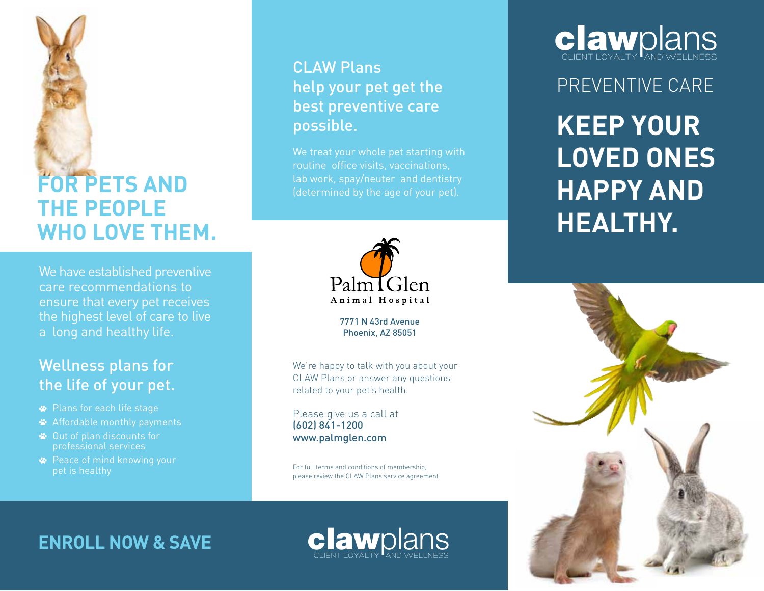

## **FOR PETS AND THE PEOPLE WHO LOVE THEM.**

We have established preventive care recommendations to ensure that every pet receives the highest level of care to live a long and healthy life.

#### Wellness plans for the life of your pet.

- Plans for each life stage
- Affordable monthly payments
- Out of plan discounts for professional services
- **<sup>■</sup>** Peace of mind knowing your pet is healthy

#### CLAW Plans help your pet get the best preventive care possible.

We treat your whole pet starting with routine office visits, vaccinations, lab work, spay/neuter and dentistry (determined by the age of your pet).



7771 N 43rd Avenue Phoenix, AZ 85051

We're happy to talk with you about your CLAW Plans or answer any questions related to your pet's health.

Please give us a call at (602) 841-1200 www.palmglen.com

For full terms and conditions of membership, please review the CLAW Plans service agreement.

clawplans



PREVENTIVE CARE

**KEEP YOUR LOVED ONES HAPPY AND HEALTHY.**



### **ENROLL NOW & SAVE**